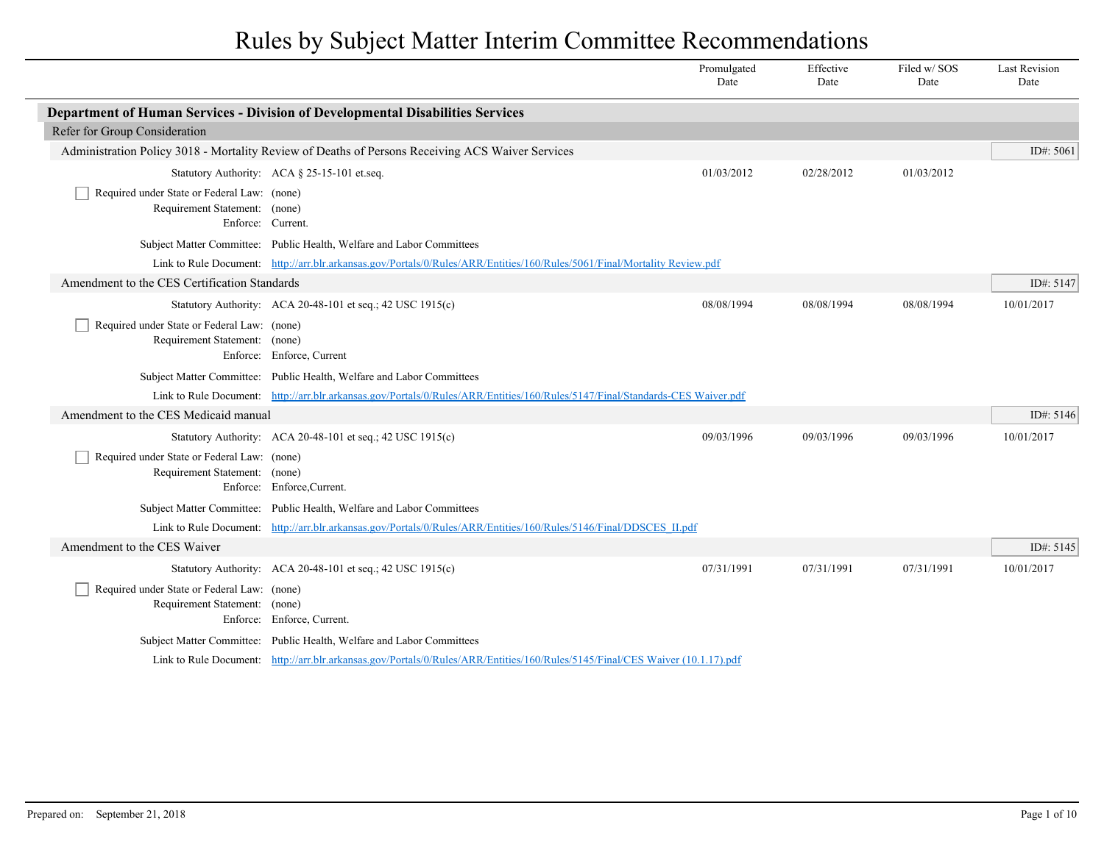|                                                                                                   |                                                                                                                               | Promulgated<br>Date | Effective<br>Date | Filed w/ SOS<br>Date | <b>Last Revision</b><br>Date |
|---------------------------------------------------------------------------------------------------|-------------------------------------------------------------------------------------------------------------------------------|---------------------|-------------------|----------------------|------------------------------|
|                                                                                                   | Department of Human Services - Division of Developmental Disabilities Services                                                |                     |                   |                      |                              |
| Refer for Group Consideration                                                                     |                                                                                                                               |                     |                   |                      |                              |
|                                                                                                   | Administration Policy 3018 - Mortality Review of Deaths of Persons Receiving ACS Waiver Services                              |                     |                   |                      | ID#: $5061$                  |
|                                                                                                   | Statutory Authority: ACA § 25-15-101 et.seq.                                                                                  | 01/03/2012          | 02/28/2012        | 01/03/2012           |                              |
| Required under State or Federal Law: (none)<br>Requirement Statement: (none)<br>Enforce: Current. |                                                                                                                               |                     |                   |                      |                              |
|                                                                                                   | Subject Matter Committee: Public Health, Welfare and Labor Committees                                                         |                     |                   |                      |                              |
|                                                                                                   | Link to Rule Document: http://arr.blr.arkansas.gov/Portals/0/Rules/ARR/Entities/160/Rules/5061/Final/Mortality Review.pdf     |                     |                   |                      |                              |
| Amendment to the CES Certification Standards                                                      |                                                                                                                               |                     |                   |                      | ID#: 5147                    |
|                                                                                                   | Statutory Authority: ACA 20-48-101 et seq.; 42 USC 1915(c)                                                                    | 08/08/1994          | 08/08/1994        | 08/08/1994           | 10/01/2017                   |
| Required under State or Federal Law: (none)<br>Requirement Statement: (none)                      | Enforce: Enforce, Current                                                                                                     |                     |                   |                      |                              |
|                                                                                                   | Subject Matter Committee: Public Health, Welfare and Labor Committees                                                         |                     |                   |                      |                              |
|                                                                                                   | Link to Rule Document: http://arr.blr.arkansas.gov/Portals/0/Rules/ARR/Entities/160/Rules/5147/Final/Standards-CES Waiver.pdf |                     |                   |                      |                              |
| Amendment to the CES Medicaid manual                                                              |                                                                                                                               |                     |                   |                      | ID#: 5146                    |
|                                                                                                   | Statutory Authority: ACA 20-48-101 et seq.; 42 USC 1915(c)                                                                    | 09/03/1996          | 09/03/1996        | 09/03/1996           | 10/01/2017                   |
| Required under State or Federal Law: (none)<br>Requirement Statement: (none)                      | Enforce: Enforce, Current.                                                                                                    |                     |                   |                      |                              |
|                                                                                                   | Subject Matter Committee: Public Health, Welfare and Labor Committees                                                         |                     |                   |                      |                              |
|                                                                                                   | Link to Rule Document: http://arr.blr.arkansas.gov/Portals/0/Rules/ARR/Entities/160/Rules/5146/Final/DDSCES_II.pdf            |                     |                   |                      |                              |
| Amendment to the CES Waiver                                                                       |                                                                                                                               |                     |                   |                      | ID#: 5145                    |
|                                                                                                   | Statutory Authority: ACA 20-48-101 et seq.; 42 USC 1915(c)                                                                    | 07/31/1991          | 07/31/1991        | 07/31/1991           | 10/01/2017                   |
| Required under State or Federal Law: (none)<br>Requirement Statement: (none)                      | Enforce: Enforce, Current.                                                                                                    |                     |                   |                      |                              |
|                                                                                                   | Subject Matter Committee: Public Health, Welfare and Labor Committees                                                         |                     |                   |                      |                              |
|                                                                                                   | Link to Rule Document: http://arr.blr.arkansas.gov/Portals/0/Rules/ARR/Entities/160/Rules/5145/Final/CES Waiver (10.1.17).pdf |                     |                   |                      |                              |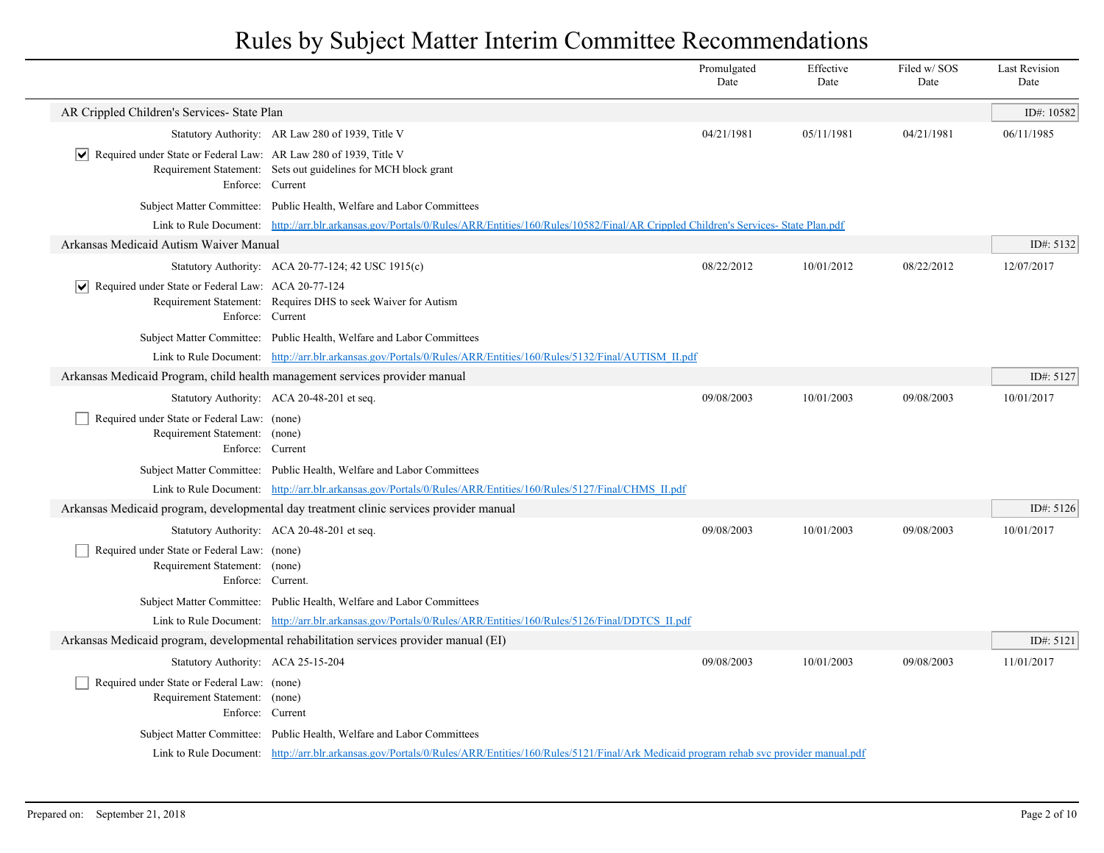|                                                                                 |                                                                                                                                                         | Promulgated<br>Date | Effective<br>Date | Filed w/SOS<br>Date | <b>Last Revision</b><br>Date |
|---------------------------------------------------------------------------------|---------------------------------------------------------------------------------------------------------------------------------------------------------|---------------------|-------------------|---------------------|------------------------------|
| AR Crippled Children's Services- State Plan                                     |                                                                                                                                                         |                     |                   |                     | ID#: $10582$                 |
|                                                                                 | Statutory Authority: AR Law 280 of 1939, Title V                                                                                                        | 04/21/1981          | 05/11/1981        | 04/21/1981          | 06/11/1985                   |
| $ \mathbf{v} $ Required under State or Federal Law: AR Law 280 of 1939, Title V | Requirement Statement: Sets out guidelines for MCH block grant<br>Enforce: Current                                                                      |                     |                   |                     |                              |
|                                                                                 | Subject Matter Committee: Public Health, Welfare and Labor Committees                                                                                   |                     |                   |                     |                              |
|                                                                                 | Link to Rule Document: http://arr.blr.arkansas.gov/Portals/0/Rules/ARR/Entities/160/Rules/10582/Final/AR Crippled Children's Services- State Plan.pdf   |                     |                   |                     |                              |
| Arkansas Medicaid Autism Waiver Manual                                          |                                                                                                                                                         |                     |                   |                     | ID#: $5132$                  |
|                                                                                 | Statutory Authority: ACA 20-77-124; 42 USC 1915(c)                                                                                                      | 08/22/2012          | 10/01/2012        | 08/22/2012          | 12/07/2017                   |
| $ \mathbf{v} $ Required under State or Federal Law: ACA 20-77-124               | Requirement Statement: Requires DHS to seek Waiver for Autism<br>Enforce: Current                                                                       |                     |                   |                     |                              |
|                                                                                 | Subject Matter Committee: Public Health, Welfare and Labor Committees                                                                                   |                     |                   |                     |                              |
|                                                                                 | Link to Rule Document: http://arr.blr.arkansas.gov/Portals/0/Rules/ARR/Entities/160/Rules/5132/Final/AUTISM II.pdf                                      |                     |                   |                     |                              |
|                                                                                 | Arkansas Medicaid Program, child health management services provider manual                                                                             |                     |                   |                     | ID#: $5127$                  |
|                                                                                 | Statutory Authority: ACA 20-48-201 et seq.                                                                                                              | 09/08/2003          | 10/01/2003        | 09/08/2003          | 10/01/2017                   |
| Required under State or Federal Law: (none)<br>Requirement Statement: (none)    | Enforce: Current                                                                                                                                        |                     |                   |                     |                              |
|                                                                                 | Subject Matter Committee: Public Health, Welfare and Labor Committees                                                                                   |                     |                   |                     |                              |
|                                                                                 | Link to Rule Document: http://arr.blr.arkansas.gov/Portals/0/Rules/ARR/Entities/160/Rules/5127/Final/CHMS II.pdf                                        |                     |                   |                     |                              |
|                                                                                 | Arkansas Medicaid program, developmental day treatment clinic services provider manual                                                                  |                     |                   |                     | ID#: $5126$                  |
|                                                                                 | Statutory Authority: ACA 20-48-201 et seq.                                                                                                              | 09/08/2003          | 10/01/2003        | 09/08/2003          | 10/01/2017                   |
| Required under State or Federal Law: (none)<br>Requirement Statement: (none)    | Enforce: Current.                                                                                                                                       |                     |                   |                     |                              |
|                                                                                 | Subject Matter Committee: Public Health, Welfare and Labor Committees                                                                                   |                     |                   |                     |                              |
|                                                                                 | Link to Rule Document: http://arr.blr.arkansas.gov/Portals/0/Rules/ARR/Entities/160/Rules/5126/Final/DDTCS II.pdf                                       |                     |                   |                     |                              |
|                                                                                 | Arkansas Medicaid program, developmental rehabilitation services provider manual (EI)                                                                   |                     |                   |                     | ID#: 5121                    |
| Statutory Authority: ACA 25-15-204                                              |                                                                                                                                                         | 09/08/2003          | 10/01/2003        | 09/08/2003          | 11/01/2017                   |
| Required under State or Federal Law: (none)<br>Requirement Statement: (none)    | Enforce: Current                                                                                                                                        |                     |                   |                     |                              |
|                                                                                 | Subject Matter Committee: Public Health, Welfare and Labor Committees                                                                                   |                     |                   |                     |                              |
|                                                                                 | Link to Rule Document: http://arr.blr.arkansas.gov/Portals/0/Rules/ARR/Entities/160/Rules/5121/Final/Ark Medicaid program rehab svc provider manual.pdf |                     |                   |                     |                              |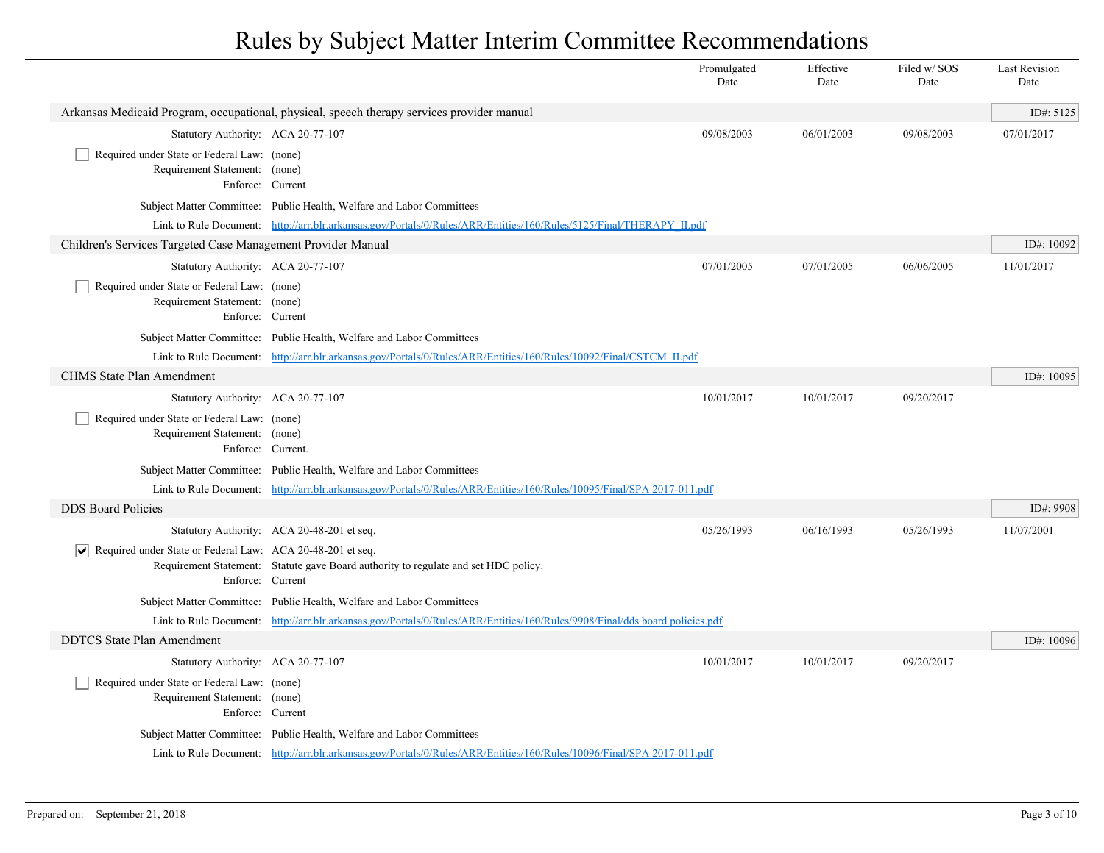|                                                                                                  |                                                                                                                             | Promulgated<br>Date | Effective<br>Date | Filed w/SOS<br>Date | <b>Last Revision</b><br>Date |
|--------------------------------------------------------------------------------------------------|-----------------------------------------------------------------------------------------------------------------------------|---------------------|-------------------|---------------------|------------------------------|
|                                                                                                  | Arkansas Medicaid Program, occupational, physical, speech therapy services provider manual                                  |                     |                   |                     | ID#: 5125                    |
| Statutory Authority: ACA 20-77-107                                                               |                                                                                                                             | 09/08/2003          | 06/01/2003        | 09/08/2003          | 07/01/2017                   |
| Required under State or Federal Law: (none)<br>Requirement Statement: (none)<br>Enforce: Current |                                                                                                                             |                     |                   |                     |                              |
|                                                                                                  | Subject Matter Committee: Public Health, Welfare and Labor Committees                                                       |                     |                   |                     |                              |
|                                                                                                  | Link to Rule Document: http://arr.blr.arkansas.gov/Portals/0/Rules/ARR/Entities/160/Rules/5125/Final/THERAPY II.pdf         |                     |                   |                     |                              |
| Children's Services Targeted Case Management Provider Manual                                     |                                                                                                                             |                     |                   |                     | ID#: 10092                   |
| Statutory Authority: ACA 20-77-107                                                               |                                                                                                                             | 07/01/2005          | 07/01/2005        | 06/06/2005          | 11/01/2017                   |
| Required under State or Federal Law: (none)<br>Requirement Statement: (none)<br>Enforce: Current |                                                                                                                             |                     |                   |                     |                              |
|                                                                                                  | Subject Matter Committee: Public Health, Welfare and Labor Committees                                                       |                     |                   |                     |                              |
|                                                                                                  | Link to Rule Document: http://arr.blr.arkansas.gov/Portals/0/Rules/ARR/Entities/160/Rules/10092/Final/CSTCM II.pdf          |                     |                   |                     |                              |
| <b>CHMS State Plan Amendment</b>                                                                 |                                                                                                                             |                     |                   |                     | ID#: 10095                   |
| Statutory Authority: ACA 20-77-107                                                               |                                                                                                                             | 10/01/2017          | 10/01/2017        | 09/20/2017          |                              |
| Required under State or Federal Law: (none)<br>Requirement Statement: (none)                     | Enforce: Current.                                                                                                           |                     |                   |                     |                              |
|                                                                                                  | Subject Matter Committee: Public Health, Welfare and Labor Committees                                                       |                     |                   |                     |                              |
|                                                                                                  | Link to Rule Document: http://arr.blr.arkansas.gov/Portals/0/Rules/ARR/Entities/160/Rules/10095/Final/SPA 2017-011.pdf      |                     |                   |                     |                              |
| <b>DDS</b> Board Policies                                                                        |                                                                                                                             |                     |                   |                     | ID#: 9908                    |
|                                                                                                  | Statutory Authority: ACA 20-48-201 et seq.                                                                                  | 05/26/1993          | 06/16/1993        | 05/26/1993          | 11/07/2001                   |
| $ \mathbf{v} $ Required under State or Federal Law: ACA 20-48-201 et seq.<br>Enforce: Current    | Requirement Statement: Statute gave Board authority to regulate and set HDC policy.                                         |                     |                   |                     |                              |
|                                                                                                  | Subject Matter Committee: Public Health, Welfare and Labor Committees                                                       |                     |                   |                     |                              |
|                                                                                                  | Link to Rule Document: http://arr.blr.arkansas.gov/Portals/0/Rules/ARR/Entities/160/Rules/9908/Final/dds board policies.pdf |                     |                   |                     |                              |
| <b>DDTCS</b> State Plan Amendment                                                                |                                                                                                                             |                     |                   |                     | ID#: 10096                   |
| Statutory Authority: ACA 20-77-107                                                               |                                                                                                                             | 10/01/2017          | 10/01/2017        | 09/20/2017          |                              |
| Required under State or Federal Law: (none)<br>Requirement Statement: (none)<br>Enforce: Current |                                                                                                                             |                     |                   |                     |                              |
|                                                                                                  | Subject Matter Committee: Public Health, Welfare and Labor Committees                                                       |                     |                   |                     |                              |
|                                                                                                  | Link to Rule Document: http://arr.blr.arkansas.gov/Portals/0/Rules/ARR/Entities/160/Rules/10096/Final/SPA 2017-011.pdf      |                     |                   |                     |                              |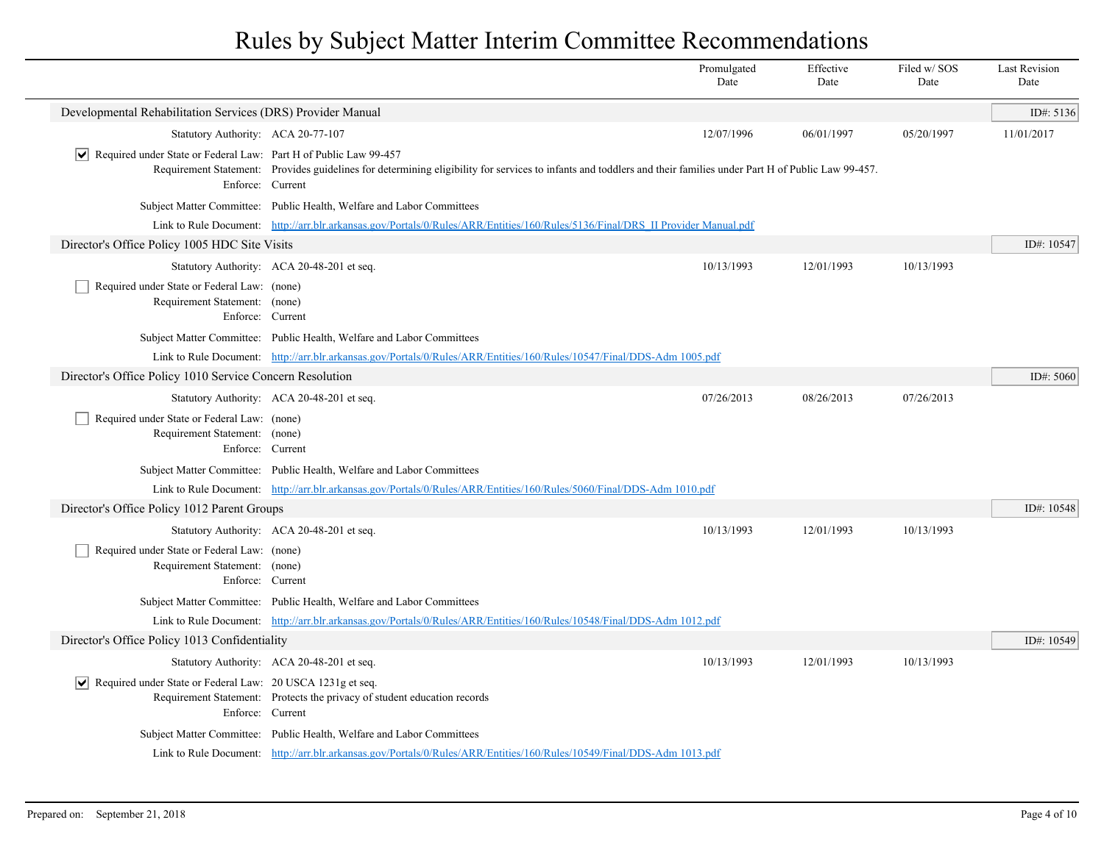|                                                                                                     |                                                                                                                                                                   | Promulgated<br>Date | Effective<br>Date | Filed w/SOS<br>Date | <b>Last Revision</b><br>Date |
|-----------------------------------------------------------------------------------------------------|-------------------------------------------------------------------------------------------------------------------------------------------------------------------|---------------------|-------------------|---------------------|------------------------------|
| Developmental Rehabilitation Services (DRS) Provider Manual                                         |                                                                                                                                                                   |                     |                   |                     | ID#: 5136                    |
| Statutory Authority: ACA 20-77-107                                                                  |                                                                                                                                                                   | 12/07/1996          | 06/01/1997        | 05/20/1997          | 11/01/2017                   |
| $ \mathbf{v} $ Required under State or Federal Law: Part H of Public Law 99-457<br>Enforce: Current | Requirement Statement: Provides guidelines for determining eligibility for services to infants and toddlers and their families under Part H of Public Law 99-457. |                     |                   |                     |                              |
|                                                                                                     | Subject Matter Committee: Public Health, Welfare and Labor Committees                                                                                             |                     |                   |                     |                              |
|                                                                                                     | Link to Rule Document: http://arr.blr.arkansas.gov/Portals/0/Rules/ARR/Entities/160/Rules/5136/Final/DRS II Provider Manual.pdf                                   |                     |                   |                     |                              |
| Director's Office Policy 1005 HDC Site Visits                                                       |                                                                                                                                                                   |                     |                   |                     | ID#: 10547                   |
|                                                                                                     | Statutory Authority: ACA 20-48-201 et seq.                                                                                                                        | 10/13/1993          | 12/01/1993        | 10/13/1993          |                              |
| Required under State or Federal Law: (none)<br>Requirement Statement: (none)<br>Enforce: Current    |                                                                                                                                                                   |                     |                   |                     |                              |
|                                                                                                     | Subject Matter Committee: Public Health, Welfare and Labor Committees                                                                                             |                     |                   |                     |                              |
|                                                                                                     | Link to Rule Document: http://arr.blr.arkansas.gov/Portals/0/Rules/ARR/Entities/160/Rules/10547/Final/DDS-Adm 1005.pdf                                            |                     |                   |                     |                              |
| Director's Office Policy 1010 Service Concern Resolution                                            |                                                                                                                                                                   |                     |                   |                     | ID#: 5060                    |
|                                                                                                     | Statutory Authority: ACA 20-48-201 et seq.                                                                                                                        | 07/26/2013          | 08/26/2013        | 07/26/2013          |                              |
| Required under State or Federal Law: (none)<br>Requirement Statement: (none)<br>Enforce: Current    |                                                                                                                                                                   |                     |                   |                     |                              |
|                                                                                                     | Subject Matter Committee: Public Health, Welfare and Labor Committees                                                                                             |                     |                   |                     |                              |
|                                                                                                     | Link to Rule Document: http://arr.blr.arkansas.gov/Portals/0/Rules/ARR/Entities/160/Rules/5060/Final/DDS-Adm 1010.pdf                                             |                     |                   |                     |                              |
| Director's Office Policy 1012 Parent Groups                                                         |                                                                                                                                                                   |                     |                   |                     | ID#: 10548                   |
|                                                                                                     | Statutory Authority: ACA 20-48-201 et seq.                                                                                                                        | 10/13/1993          | 12/01/1993        | 10/13/1993          |                              |
| Required under State or Federal Law: (none)<br>Requirement Statement: (none)<br>Enforce: Current    |                                                                                                                                                                   |                     |                   |                     |                              |
|                                                                                                     | Subject Matter Committee: Public Health, Welfare and Labor Committees                                                                                             |                     |                   |                     |                              |
|                                                                                                     | Link to Rule Document: http://arr.blr.arkansas.gov/Portals/0/Rules/ARR/Entities/160/Rules/10548/Final/DDS-Adm 1012.pdf                                            |                     |                   |                     |                              |
| Director's Office Policy 1013 Confidentiality                                                       |                                                                                                                                                                   |                     |                   |                     | ID#: 10549                   |
|                                                                                                     | Statutory Authority: ACA 20-48-201 et seq.                                                                                                                        | 10/13/1993          | 12/01/1993        | 10/13/1993          |                              |
| $ \mathbf{v} $ Required under State or Federal Law: 20 USCA 1231g et seq.<br>Enforce: Current       | Requirement Statement: Protects the privacy of student education records                                                                                          |                     |                   |                     |                              |
|                                                                                                     | Subject Matter Committee: Public Health, Welfare and Labor Committees                                                                                             |                     |                   |                     |                              |
|                                                                                                     | Link to Rule Document: http://arr.blr.arkansas.gov/Portals/0/Rules/ARR/Entities/160/Rules/10549/Final/DDS-Adm 1013.pdf                                            |                     |                   |                     |                              |
|                                                                                                     |                                                                                                                                                                   |                     |                   |                     |                              |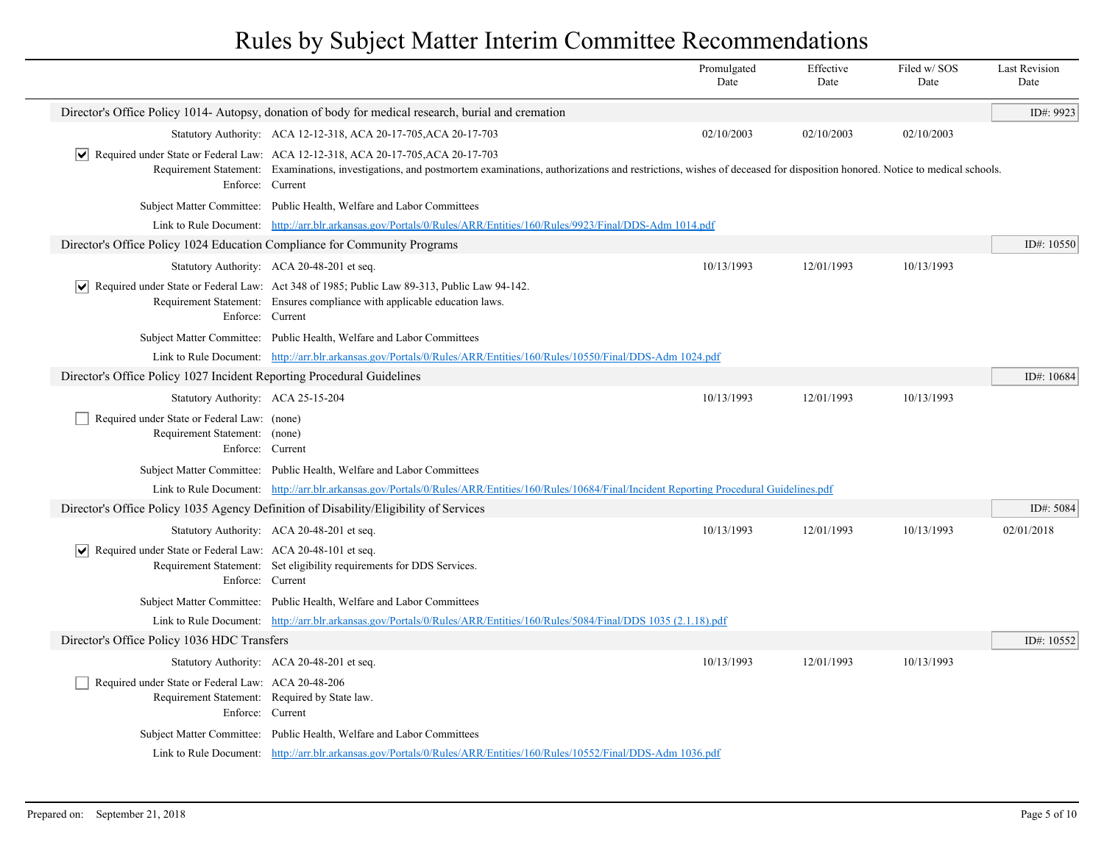|                                                                                                                         |                                                                                                                                                                                                                                                                                                                 | Promulgated<br>Date | Effective<br>Date | Filed w/SOS<br>Date | <b>Last Revision</b><br>Date |  |
|-------------------------------------------------------------------------------------------------------------------------|-----------------------------------------------------------------------------------------------------------------------------------------------------------------------------------------------------------------------------------------------------------------------------------------------------------------|---------------------|-------------------|---------------------|------------------------------|--|
|                                                                                                                         | Director's Office Policy 1014- Autopsy, donation of body for medical research, burial and cremation                                                                                                                                                                                                             |                     |                   |                     | ID#: 9923                    |  |
|                                                                                                                         | Statutory Authority: ACA 12-12-318, ACA 20-17-705, ACA 20-17-703                                                                                                                                                                                                                                                | 02/10/2003          | 02/10/2003        | 02/10/2003          |                              |  |
| Enforce: Current                                                                                                        | $\vert \blacktriangleright \vert$ Required under State or Federal Law: ACA 12-12-318, ACA 20-17-705, ACA 20-17-703<br>Requirement Statement: Examinations, investigations, and postmortem examinations, authorizations and restrictions, wishes of deceased for disposition honored. Notice to medical schools. |                     |                   |                     |                              |  |
|                                                                                                                         | Subject Matter Committee: Public Health, Welfare and Labor Committees                                                                                                                                                                                                                                           |                     |                   |                     |                              |  |
|                                                                                                                         | Link to Rule Document: http://arr.blr.arkansas.gov/Portals/0/Rules/ARR/Entities/160/Rules/9923/Final/DDS-Adm 1014.pdf                                                                                                                                                                                           |                     |                   |                     |                              |  |
| Director's Office Policy 1024 Education Compliance for Community Programs                                               |                                                                                                                                                                                                                                                                                                                 |                     |                   |                     | ID#: $10550$                 |  |
|                                                                                                                         | Statutory Authority: ACA 20-48-201 et seq.                                                                                                                                                                                                                                                                      | 10/13/1993          | 12/01/1993        | 10/13/1993          |                              |  |
| Enforce: Current                                                                                                        | $\vert \blacktriangleright \vert$ Required under State or Federal Law: Act 348 of 1985; Public Law 89-313, Public Law 94-142.<br>Requirement Statement: Ensures compliance with applicable education laws.                                                                                                      |                     |                   |                     |                              |  |
|                                                                                                                         | Subject Matter Committee: Public Health, Welfare and Labor Committees                                                                                                                                                                                                                                           |                     |                   |                     |                              |  |
|                                                                                                                         | Link to Rule Document: http://arr.blr.arkansas.gov/Portals/0/Rules/ARR/Entities/160/Rules/10550/Final/DDS-Adm 1024.pdf                                                                                                                                                                                          |                     |                   |                     |                              |  |
| Director's Office Policy 1027 Incident Reporting Procedural Guidelines                                                  |                                                                                                                                                                                                                                                                                                                 |                     |                   |                     |                              |  |
| Statutory Authority: ACA 25-15-204                                                                                      |                                                                                                                                                                                                                                                                                                                 | 10/13/1993          | 12/01/1993        | 10/13/1993          |                              |  |
| Required under State or Federal Law: (none)<br>Requirement Statement: (none)<br>Enforce: Current                        |                                                                                                                                                                                                                                                                                                                 |                     |                   |                     |                              |  |
|                                                                                                                         | Subject Matter Committee: Public Health, Welfare and Labor Committees                                                                                                                                                                                                                                           |                     |                   |                     |                              |  |
|                                                                                                                         | Link to Rule Document: http://arr.blr.arkansas.gov/Portals/0/Rules/ARR/Entities/160/Rules/10684/Final/Incident Reporting Procedural Guidelines.pdf                                                                                                                                                              |                     |                   |                     |                              |  |
|                                                                                                                         | Director's Office Policy 1035 Agency Definition of Disability/Eligibility of Services                                                                                                                                                                                                                           |                     |                   |                     | ID#: 5084                    |  |
|                                                                                                                         | Statutory Authority: ACA 20-48-201 et seq.                                                                                                                                                                                                                                                                      | 10/13/1993          | 12/01/1993        | 10/13/1993          | 02/01/2018                   |  |
| Required under State or Federal Law: ACA 20-48-101 et seq.<br>M<br>Enforce: Current                                     | Requirement Statement: Set eligibility requirements for DDS Services.                                                                                                                                                                                                                                           |                     |                   |                     |                              |  |
|                                                                                                                         | Subject Matter Committee: Public Health, Welfare and Labor Committees                                                                                                                                                                                                                                           |                     |                   |                     |                              |  |
|                                                                                                                         | Link to Rule Document: http://arr.blr.arkansas.gov/Portals/0/Rules/ARR/Entities/160/Rules/5084/Final/DDS 1035 (2.1.18).pdf                                                                                                                                                                                      |                     |                   |                     |                              |  |
| Director's Office Policy 1036 HDC Transfers                                                                             |                                                                                                                                                                                                                                                                                                                 |                     |                   |                     | ID#: $10552$                 |  |
|                                                                                                                         | Statutory Authority: ACA 20-48-201 et seq.                                                                                                                                                                                                                                                                      | 10/13/1993          | 12/01/1993        | 10/13/1993          |                              |  |
| Required under State or Federal Law: ACA 20-48-206<br>Requirement Statement: Required by State law.<br>Enforce: Current |                                                                                                                                                                                                                                                                                                                 |                     |                   |                     |                              |  |
|                                                                                                                         | Subject Matter Committee: Public Health, Welfare and Labor Committees                                                                                                                                                                                                                                           |                     |                   |                     |                              |  |
|                                                                                                                         | Link to Rule Document: http://arr.blr.arkansas.gov/Portals/0/Rules/ARR/Entities/160/Rules/10552/Final/DDS-Adm 1036.pdf                                                                                                                                                                                          |                     |                   |                     |                              |  |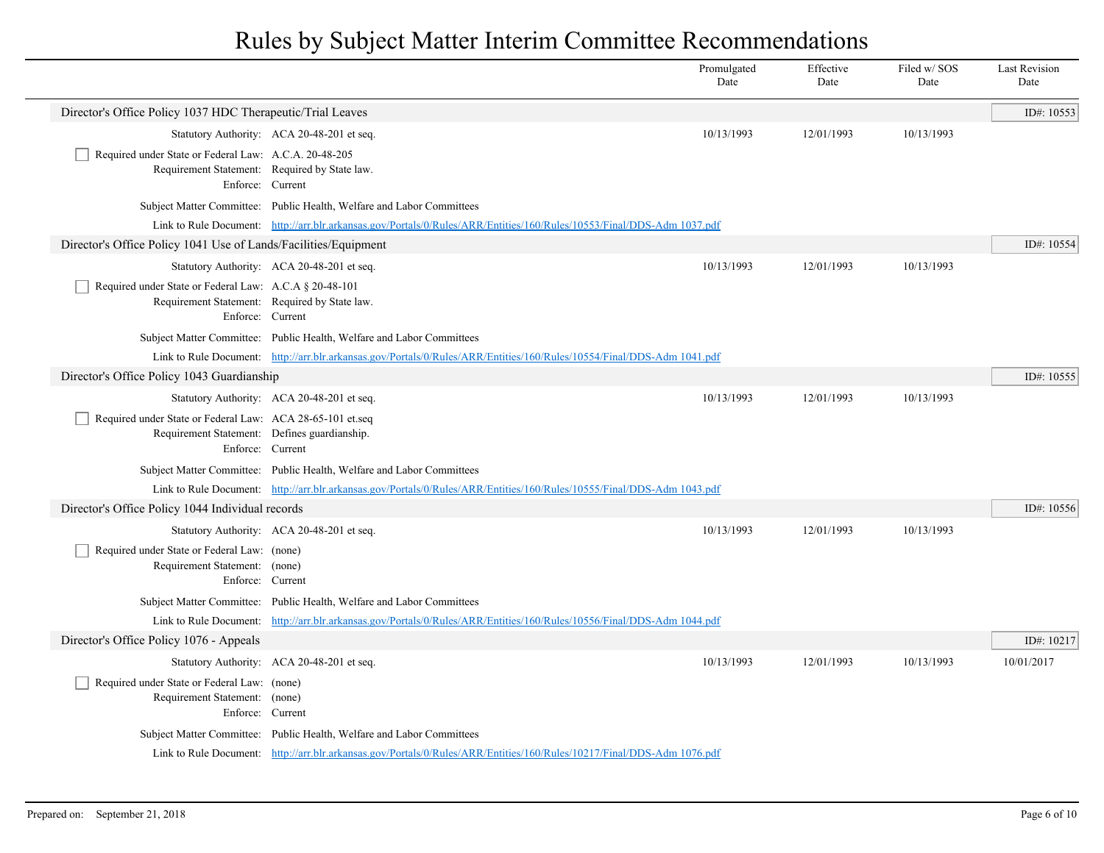|                                                                                                           |                                                                                                                        | Promulgated<br>Date | Effective<br>Date | Filed w/SOS<br>Date | <b>Last Revision</b><br>Date |
|-----------------------------------------------------------------------------------------------------------|------------------------------------------------------------------------------------------------------------------------|---------------------|-------------------|---------------------|------------------------------|
| Director's Office Policy 1037 HDC Therapeutic/Trial Leaves                                                |                                                                                                                        |                     |                   |                     | ID#: 10553                   |
|                                                                                                           | Statutory Authority: ACA 20-48-201 et seq.                                                                             | 10/13/1993          | 12/01/1993        | 10/13/1993          |                              |
| Required under State or Federal Law: A.C.A. 20-48-205<br>Requirement Statement: Required by State law.    | Enforce: Current                                                                                                       |                     |                   |                     |                              |
|                                                                                                           | Subject Matter Committee: Public Health, Welfare and Labor Committees                                                  |                     |                   |                     |                              |
|                                                                                                           | Link to Rule Document: http://arr.blr.arkansas.gov/Portals/0/Rules/ARR/Entities/160/Rules/10553/Final/DDS-Adm 1037.pdf |                     |                   |                     |                              |
| Director's Office Policy 1041 Use of Lands/Facilities/Equipment                                           |                                                                                                                        |                     |                   |                     | ID#: 10554                   |
|                                                                                                           | Statutory Authority: ACA 20-48-201 et seq.                                                                             | 10/13/1993          | 12/01/1993        | 10/13/1993          |                              |
| Required under State or Federal Law: A.C.A § 20-48-101<br>Requirement Statement: Required by State law.   | Enforce: Current                                                                                                       |                     |                   |                     |                              |
|                                                                                                           | Subject Matter Committee: Public Health, Welfare and Labor Committees                                                  |                     |                   |                     |                              |
|                                                                                                           | Link to Rule Document: http://arr.blr.arkansas.gov/Portals/0/Rules/ARR/Entities/160/Rules/10554/Final/DDS-Adm 1041.pdf |                     |                   |                     |                              |
| Director's Office Policy 1043 Guardianship                                                                |                                                                                                                        |                     |                   |                     | ID#: 10555                   |
|                                                                                                           | Statutory Authority: ACA 20-48-201 et seq.                                                                             | 10/13/1993          | 12/01/1993        | 10/13/1993          |                              |
| Required under State or Federal Law: ACA 28-65-101 et.seq<br>Requirement Statement: Defines guardianship. | Enforce: Current                                                                                                       |                     |                   |                     |                              |
|                                                                                                           | Subject Matter Committee: Public Health, Welfare and Labor Committees                                                  |                     |                   |                     |                              |
|                                                                                                           | Link to Rule Document: http://arr.blr.arkansas.gov/Portals/0/Rules/ARR/Entities/160/Rules/10555/Final/DDS-Adm 1043.pdf |                     |                   |                     |                              |
| Director's Office Policy 1044 Individual records                                                          |                                                                                                                        |                     |                   |                     | ID#: 10556                   |
|                                                                                                           | Statutory Authority: ACA 20-48-201 et seq.                                                                             | 10/13/1993          | 12/01/1993        | 10/13/1993          |                              |
| Required under State or Federal Law: (none)<br>Requirement Statement: (none)                              | Enforce: Current                                                                                                       |                     |                   |                     |                              |
|                                                                                                           | Subject Matter Committee: Public Health, Welfare and Labor Committees                                                  |                     |                   |                     |                              |
|                                                                                                           | Link to Rule Document: http://arr.blr.arkansas.gov/Portals/0/Rules/ARR/Entities/160/Rules/10556/Final/DDS-Adm 1044.pdf |                     |                   |                     |                              |
| Director's Office Policy 1076 - Appeals                                                                   |                                                                                                                        |                     |                   |                     | ID#: 10217                   |
|                                                                                                           | Statutory Authority: ACA 20-48-201 et seq.                                                                             | 10/13/1993          | 12/01/1993        | 10/13/1993          | 10/01/2017                   |
| Required under State or Federal Law: (none)<br>Requirement Statement: (none)                              | Enforce: Current                                                                                                       |                     |                   |                     |                              |
|                                                                                                           | Subject Matter Committee: Public Health, Welfare and Labor Committees                                                  |                     |                   |                     |                              |
|                                                                                                           | Link to Rule Document: http://arr.blr.arkansas.gov/Portals/0/Rules/ARR/Entities/160/Rules/10217/Final/DDS-Adm 1076.pdf |                     |                   |                     |                              |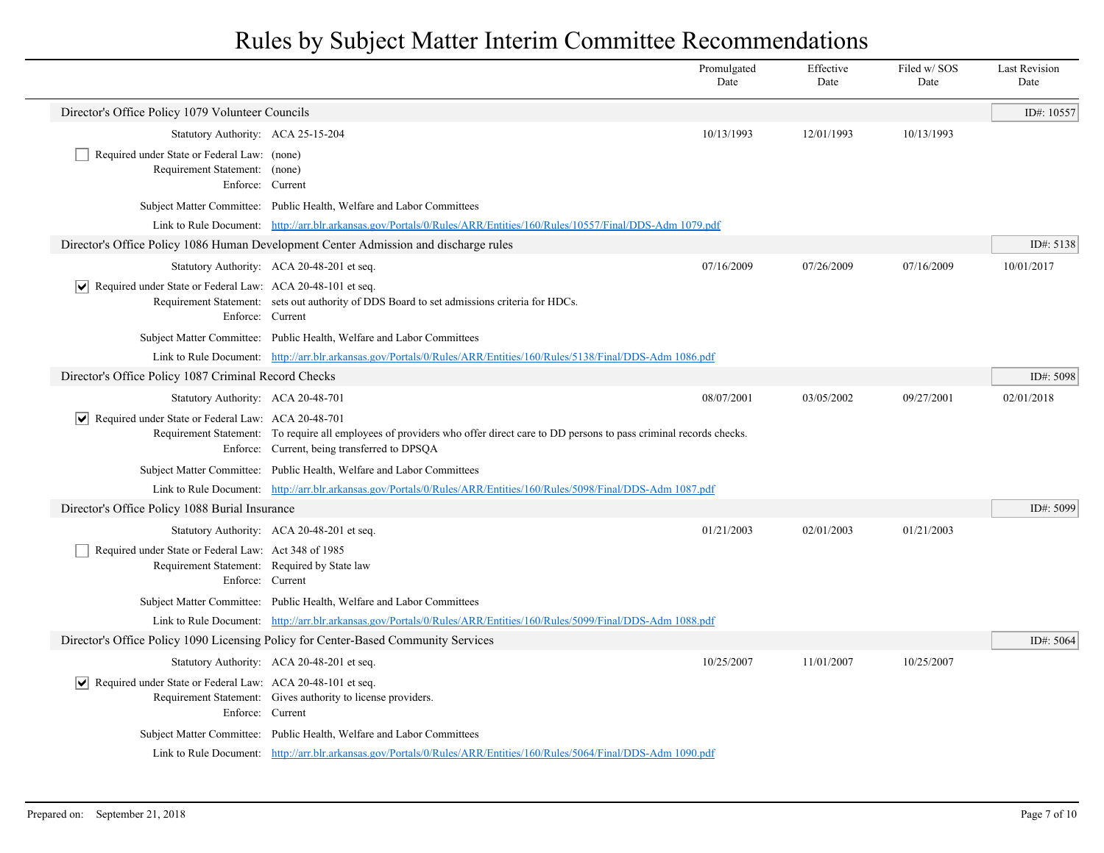|                                                                                                      |                                                                                                                                                                                   | Promulgated<br>Date | Effective<br>Date | Filed w/SOS<br>Date | Last Revision<br>Date |
|------------------------------------------------------------------------------------------------------|-----------------------------------------------------------------------------------------------------------------------------------------------------------------------------------|---------------------|-------------------|---------------------|-----------------------|
| Director's Office Policy 1079 Volunteer Councils                                                     |                                                                                                                                                                                   |                     |                   |                     | ID#: 10557            |
| Statutory Authority: ACA 25-15-204                                                                   |                                                                                                                                                                                   | 10/13/1993          | 12/01/1993        | 10/13/1993          |                       |
| Required under State or Federal Law: (none)<br>Requirement Statement: (none)                         | Enforce: Current                                                                                                                                                                  |                     |                   |                     |                       |
|                                                                                                      | Subject Matter Committee: Public Health, Welfare and Labor Committees                                                                                                             |                     |                   |                     |                       |
|                                                                                                      | Link to Rule Document: http://arr.blr.arkansas.gov/Portals/0/Rules/ARR/Entities/160/Rules/10557/Final/DDS-Adm 1079.pdf                                                            |                     |                   |                     |                       |
|                                                                                                      | Director's Office Policy 1086 Human Development Center Admission and discharge rules                                                                                              |                     |                   |                     | ID#: 5138             |
|                                                                                                      | Statutory Authority: ACA 20-48-201 et seq.                                                                                                                                        | 07/16/2009          | 07/26/2009        | 07/16/2009          | 10/01/2017            |
| $ \mathbf{v} $ Required under State or Federal Law: ACA 20-48-101 et seq.                            | Requirement Statement: sets out authority of DDS Board to set admissions criteria for HDCs.<br>Enforce: Current                                                                   |                     |                   |                     |                       |
|                                                                                                      | Subject Matter Committee: Public Health, Welfare and Labor Committees                                                                                                             |                     |                   |                     |                       |
|                                                                                                      | Link to Rule Document: http://arr.blr.arkansas.gov/Portals/0/Rules/ARR/Entities/160/Rules/5138/Final/DDS-Adm 1086.pdf                                                             |                     |                   |                     |                       |
| Director's Office Policy 1087 Criminal Record Checks                                                 |                                                                                                                                                                                   |                     |                   |                     | ID#: 5098             |
| Statutory Authority: ACA 20-48-701                                                                   |                                                                                                                                                                                   | 08/07/2001          | 03/05/2002        | 09/27/2001          | 02/01/2018            |
| $ \mathbf{v} $ Required under State or Federal Law: ACA 20-48-701                                    | Requirement Statement: To require all employees of providers who offer direct care to DD persons to pass criminal records checks.<br>Enforce: Current, being transferred to DPSQA |                     |                   |                     |                       |
|                                                                                                      | Subject Matter Committee: Public Health, Welfare and Labor Committees                                                                                                             |                     |                   |                     |                       |
|                                                                                                      | Link to Rule Document: http://arr.blr.arkansas.gov/Portals/0/Rules/ARR/Entities/160/Rules/5098/Final/DDS-Adm 1087.pdf                                                             |                     |                   |                     |                       |
| Director's Office Policy 1088 Burial Insurance                                                       |                                                                                                                                                                                   |                     |                   |                     | ID#: 5099             |
|                                                                                                      | Statutory Authority: ACA 20-48-201 et seq.                                                                                                                                        | 01/21/2003          | 02/01/2003        | 01/21/2003          |                       |
| Required under State or Federal Law: Act 348 of 1985<br>Requirement Statement: Required by State law | Enforce: Current                                                                                                                                                                  |                     |                   |                     |                       |
|                                                                                                      | Subject Matter Committee: Public Health, Welfare and Labor Committees                                                                                                             |                     |                   |                     |                       |
|                                                                                                      | Link to Rule Document: http://arr.blr.arkansas.gov/Portals/0/Rules/ARR/Entities/160/Rules/5099/Final/DDS-Adm 1088.pdf                                                             |                     |                   |                     |                       |
|                                                                                                      | Director's Office Policy 1090 Licensing Policy for Center-Based Community Services                                                                                                |                     |                   |                     | ID#: 5064             |
|                                                                                                      | Statutory Authority: ACA 20-48-201 et seq.                                                                                                                                        | 10/25/2007          | 11/01/2007        | 10/25/2007          |                       |
| Required under State or Federal Law: ACA 20-48-101 et seq.                                           | Requirement Statement: Gives authority to license providers.<br>Enforce: Current                                                                                                  |                     |                   |                     |                       |
|                                                                                                      | Subject Matter Committee: Public Health, Welfare and Labor Committees                                                                                                             |                     |                   |                     |                       |
|                                                                                                      | Link to Rule Document: http://arr.blr.arkansas.gov/Portals/0/Rules/ARR/Entities/160/Rules/5064/Final/DDS-Adm 1090.pdf                                                             |                     |                   |                     |                       |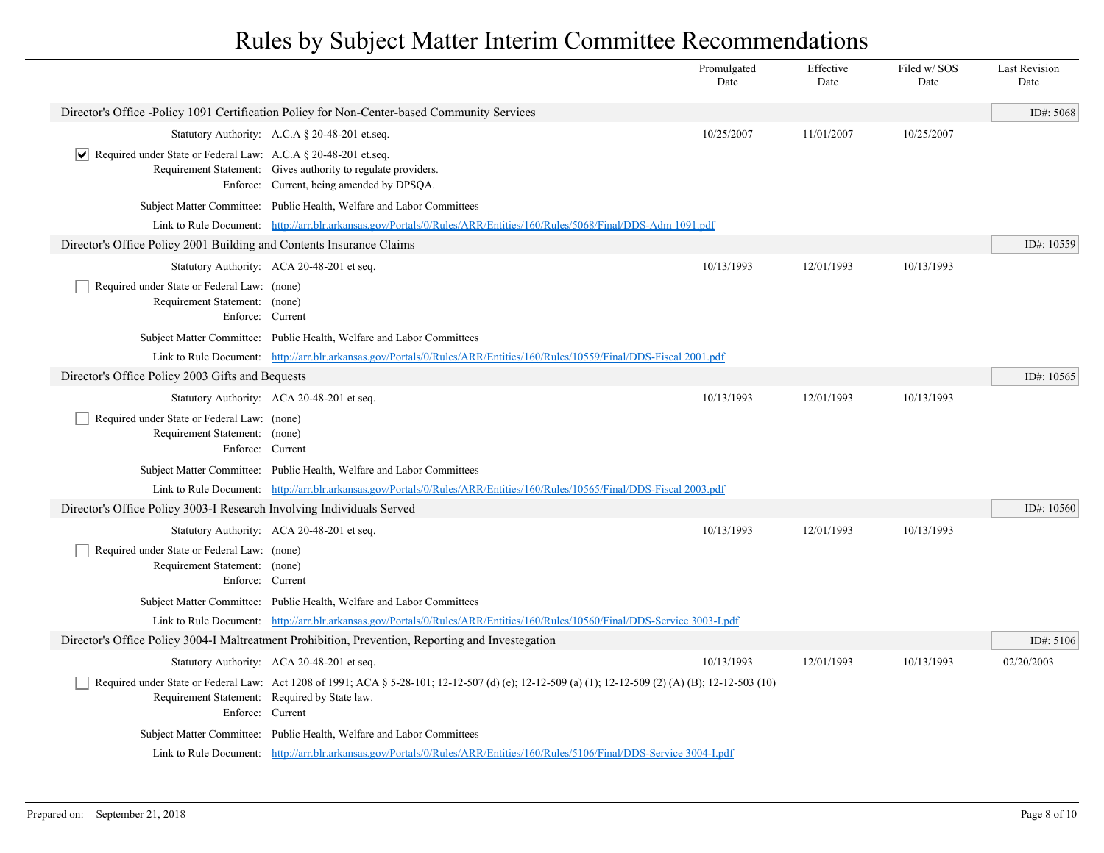|                                                                                                                                                                                                                                                                                                                                                                                                                                                                                                                                                                                                                                                                                                                                                                                                                                                                                                                                                                                                                                                                                                                                                                                                                                                                                                                                                                                                                                                                                                                                                                                                                                                                                                                                                                                                                                                                                                                                                                                                                                                                                                                                                                                                    |                                                                                                                                                                        | Promulgated<br>Date | Effective<br>Date | Filed w/SOS<br>Date | <b>Last Revision</b><br>Date |
|----------------------------------------------------------------------------------------------------------------------------------------------------------------------------------------------------------------------------------------------------------------------------------------------------------------------------------------------------------------------------------------------------------------------------------------------------------------------------------------------------------------------------------------------------------------------------------------------------------------------------------------------------------------------------------------------------------------------------------------------------------------------------------------------------------------------------------------------------------------------------------------------------------------------------------------------------------------------------------------------------------------------------------------------------------------------------------------------------------------------------------------------------------------------------------------------------------------------------------------------------------------------------------------------------------------------------------------------------------------------------------------------------------------------------------------------------------------------------------------------------------------------------------------------------------------------------------------------------------------------------------------------------------------------------------------------------------------------------------------------------------------------------------------------------------------------------------------------------------------------------------------------------------------------------------------------------------------------------------------------------------------------------------------------------------------------------------------------------------------------------------------------------------------------------------------------------|------------------------------------------------------------------------------------------------------------------------------------------------------------------------|---------------------|-------------------|---------------------|------------------------------|
| Director's Office -Policy 1091 Certification Policy for Non-Center-based Community Services<br>Statutory Authority: A.C.A § 20-48-201 et.seq.<br>10/25/2007<br>11/01/2007<br>10/25/2007<br>$ \mathbf{v} $ Required under State or Federal Law: A.C.A § 20-48-201 et.seq.<br>Requirement Statement: Gives authority to regulate providers.<br>Enforce: Current, being amended by DPSQA.<br>Subject Matter Committee: Public Health, Welfare and Labor Committees<br>Link to Rule Document: http://arr.blr.arkansas.gov/Portals/0/Rules/ARR/Entities/160/Rules/5068/Final/DDS-Adm 1091.pdf<br>Director's Office Policy 2001 Building and Contents Insurance Claims<br>Statutory Authority: ACA 20-48-201 et seq.<br>10/13/1993<br>12/01/1993<br>10/13/1993<br>Required under State or Federal Law: (none)<br>Requirement Statement: (none)<br>Enforce: Current<br>Subject Matter Committee: Public Health, Welfare and Labor Committees<br>Link to Rule Document: http://arr.blr.arkansas.gov/Portals/0/Rules/ARR/Entities/160/Rules/10559/Final/DDS-Fiscal 2001.pdf<br>Director's Office Policy 2003 Gifts and Bequests<br>10/13/1993<br>Statutory Authority: ACA 20-48-201 et seq.<br>12/01/1993<br>10/13/1993<br>Required under State or Federal Law: (none)<br>Requirement Statement: (none)<br>Enforce: Current<br>Subject Matter Committee: Public Health, Welfare and Labor Committees<br>Link to Rule Document: http://arr.blr.arkansas.gov/Portals/0/Rules/ARR/Entities/160/Rules/10565/Final/DDS-Fiscal 2003.pdf<br>Director's Office Policy 3003-I Research Involving Individuals Served<br>10/13/1993<br>12/01/1993<br>10/13/1993<br>Statutory Authority: ACA 20-48-201 et seq.<br>Required under State or Federal Law: (none)<br>Requirement Statement: (none)<br>Enforce: Current<br>Subject Matter Committee: Public Health, Welfare and Labor Committees<br>Link to Rule Document: http://arr.blr.arkansas.gov/Portals/0/Rules/ARR/Entities/160/Rules/10560/Final/DDS-Service 3003-Lpdf<br>Director's Office Policy 3004-I Maltreatment Prohibition, Prevention, Reporting and Investegation<br>10/13/1993<br>12/01/1993<br>Statutory Authority: ACA 20-48-201 et seq.<br>10/13/1993 |                                                                                                                                                                        |                     |                   | ID#: 5068           |                              |
|                                                                                                                                                                                                                                                                                                                                                                                                                                                                                                                                                                                                                                                                                                                                                                                                                                                                                                                                                                                                                                                                                                                                                                                                                                                                                                                                                                                                                                                                                                                                                                                                                                                                                                                                                                                                                                                                                                                                                                                                                                                                                                                                                                                                    |                                                                                                                                                                        |                     |                   |                     |                              |
|                                                                                                                                                                                                                                                                                                                                                                                                                                                                                                                                                                                                                                                                                                                                                                                                                                                                                                                                                                                                                                                                                                                                                                                                                                                                                                                                                                                                                                                                                                                                                                                                                                                                                                                                                                                                                                                                                                                                                                                                                                                                                                                                                                                                    |                                                                                                                                                                        |                     |                   |                     |                              |
|                                                                                                                                                                                                                                                                                                                                                                                                                                                                                                                                                                                                                                                                                                                                                                                                                                                                                                                                                                                                                                                                                                                                                                                                                                                                                                                                                                                                                                                                                                                                                                                                                                                                                                                                                                                                                                                                                                                                                                                                                                                                                                                                                                                                    |                                                                                                                                                                        |                     |                   |                     |                              |
|                                                                                                                                                                                                                                                                                                                                                                                                                                                                                                                                                                                                                                                                                                                                                                                                                                                                                                                                                                                                                                                                                                                                                                                                                                                                                                                                                                                                                                                                                                                                                                                                                                                                                                                                                                                                                                                                                                                                                                                                                                                                                                                                                                                                    |                                                                                                                                                                        |                     |                   |                     |                              |
|                                                                                                                                                                                                                                                                                                                                                                                                                                                                                                                                                                                                                                                                                                                                                                                                                                                                                                                                                                                                                                                                                                                                                                                                                                                                                                                                                                                                                                                                                                                                                                                                                                                                                                                                                                                                                                                                                                                                                                                                                                                                                                                                                                                                    |                                                                                                                                                                        |                     |                   |                     | ID#: 10559                   |
|                                                                                                                                                                                                                                                                                                                                                                                                                                                                                                                                                                                                                                                                                                                                                                                                                                                                                                                                                                                                                                                                                                                                                                                                                                                                                                                                                                                                                                                                                                                                                                                                                                                                                                                                                                                                                                                                                                                                                                                                                                                                                                                                                                                                    |                                                                                                                                                                        |                     |                   |                     |                              |
|                                                                                                                                                                                                                                                                                                                                                                                                                                                                                                                                                                                                                                                                                                                                                                                                                                                                                                                                                                                                                                                                                                                                                                                                                                                                                                                                                                                                                                                                                                                                                                                                                                                                                                                                                                                                                                                                                                                                                                                                                                                                                                                                                                                                    |                                                                                                                                                                        |                     |                   |                     |                              |
|                                                                                                                                                                                                                                                                                                                                                                                                                                                                                                                                                                                                                                                                                                                                                                                                                                                                                                                                                                                                                                                                                                                                                                                                                                                                                                                                                                                                                                                                                                                                                                                                                                                                                                                                                                                                                                                                                                                                                                                                                                                                                                                                                                                                    |                                                                                                                                                                        |                     |                   |                     |                              |
|                                                                                                                                                                                                                                                                                                                                                                                                                                                                                                                                                                                                                                                                                                                                                                                                                                                                                                                                                                                                                                                                                                                                                                                                                                                                                                                                                                                                                                                                                                                                                                                                                                                                                                                                                                                                                                                                                                                                                                                                                                                                                                                                                                                                    |                                                                                                                                                                        |                     |                   |                     |                              |
|                                                                                                                                                                                                                                                                                                                                                                                                                                                                                                                                                                                                                                                                                                                                                                                                                                                                                                                                                                                                                                                                                                                                                                                                                                                                                                                                                                                                                                                                                                                                                                                                                                                                                                                                                                                                                                                                                                                                                                                                                                                                                                                                                                                                    |                                                                                                                                                                        |                     |                   |                     | ID#: 10565                   |
|                                                                                                                                                                                                                                                                                                                                                                                                                                                                                                                                                                                                                                                                                                                                                                                                                                                                                                                                                                                                                                                                                                                                                                                                                                                                                                                                                                                                                                                                                                                                                                                                                                                                                                                                                                                                                                                                                                                                                                                                                                                                                                                                                                                                    |                                                                                                                                                                        |                     |                   |                     |                              |
|                                                                                                                                                                                                                                                                                                                                                                                                                                                                                                                                                                                                                                                                                                                                                                                                                                                                                                                                                                                                                                                                                                                                                                                                                                                                                                                                                                                                                                                                                                                                                                                                                                                                                                                                                                                                                                                                                                                                                                                                                                                                                                                                                                                                    |                                                                                                                                                                        |                     |                   |                     |                              |
|                                                                                                                                                                                                                                                                                                                                                                                                                                                                                                                                                                                                                                                                                                                                                                                                                                                                                                                                                                                                                                                                                                                                                                                                                                                                                                                                                                                                                                                                                                                                                                                                                                                                                                                                                                                                                                                                                                                                                                                                                                                                                                                                                                                                    |                                                                                                                                                                        |                     |                   |                     |                              |
|                                                                                                                                                                                                                                                                                                                                                                                                                                                                                                                                                                                                                                                                                                                                                                                                                                                                                                                                                                                                                                                                                                                                                                                                                                                                                                                                                                                                                                                                                                                                                                                                                                                                                                                                                                                                                                                                                                                                                                                                                                                                                                                                                                                                    |                                                                                                                                                                        |                     |                   |                     |                              |
|                                                                                                                                                                                                                                                                                                                                                                                                                                                                                                                                                                                                                                                                                                                                                                                                                                                                                                                                                                                                                                                                                                                                                                                                                                                                                                                                                                                                                                                                                                                                                                                                                                                                                                                                                                                                                                                                                                                                                                                                                                                                                                                                                                                                    |                                                                                                                                                                        |                     |                   |                     | ID#: 10560                   |
|                                                                                                                                                                                                                                                                                                                                                                                                                                                                                                                                                                                                                                                                                                                                                                                                                                                                                                                                                                                                                                                                                                                                                                                                                                                                                                                                                                                                                                                                                                                                                                                                                                                                                                                                                                                                                                                                                                                                                                                                                                                                                                                                                                                                    |                                                                                                                                                                        |                     |                   |                     |                              |
|                                                                                                                                                                                                                                                                                                                                                                                                                                                                                                                                                                                                                                                                                                                                                                                                                                                                                                                                                                                                                                                                                                                                                                                                                                                                                                                                                                                                                                                                                                                                                                                                                                                                                                                                                                                                                                                                                                                                                                                                                                                                                                                                                                                                    |                                                                                                                                                                        |                     |                   |                     |                              |
|                                                                                                                                                                                                                                                                                                                                                                                                                                                                                                                                                                                                                                                                                                                                                                                                                                                                                                                                                                                                                                                                                                                                                                                                                                                                                                                                                                                                                                                                                                                                                                                                                                                                                                                                                                                                                                                                                                                                                                                                                                                                                                                                                                                                    |                                                                                                                                                                        |                     |                   |                     |                              |
|                                                                                                                                                                                                                                                                                                                                                                                                                                                                                                                                                                                                                                                                                                                                                                                                                                                                                                                                                                                                                                                                                                                                                                                                                                                                                                                                                                                                                                                                                                                                                                                                                                                                                                                                                                                                                                                                                                                                                                                                                                                                                                                                                                                                    |                                                                                                                                                                        |                     |                   |                     |                              |
|                                                                                                                                                                                                                                                                                                                                                                                                                                                                                                                                                                                                                                                                                                                                                                                                                                                                                                                                                                                                                                                                                                                                                                                                                                                                                                                                                                                                                                                                                                                                                                                                                                                                                                                                                                                                                                                                                                                                                                                                                                                                                                                                                                                                    |                                                                                                                                                                        |                     |                   |                     | ID#: 5106                    |
|                                                                                                                                                                                                                                                                                                                                                                                                                                                                                                                                                                                                                                                                                                                                                                                                                                                                                                                                                                                                                                                                                                                                                                                                                                                                                                                                                                                                                                                                                                                                                                                                                                                                                                                                                                                                                                                                                                                                                                                                                                                                                                                                                                                                    |                                                                                                                                                                        |                     |                   |                     | 02/20/2003                   |
| Requirement Statement: Required by State law.                                                                                                                                                                                                                                                                                                                                                                                                                                                                                                                                                                                                                                                                                                                                                                                                                                                                                                                                                                                                                                                                                                                                                                                                                                                                                                                                                                                                                                                                                                                                                                                                                                                                                                                                                                                                                                                                                                                                                                                                                                                                                                                                                      | Required under State or Federal Law: Act 1208 of 1991; ACA § 5-28-101; 12-12-507 (d) (e); 12-12-509 (a) (1); 12-12-509 (2) (A) (B); 12-12-503 (10)<br>Enforce: Current |                     |                   |                     |                              |
|                                                                                                                                                                                                                                                                                                                                                                                                                                                                                                                                                                                                                                                                                                                                                                                                                                                                                                                                                                                                                                                                                                                                                                                                                                                                                                                                                                                                                                                                                                                                                                                                                                                                                                                                                                                                                                                                                                                                                                                                                                                                                                                                                                                                    | Subject Matter Committee: Public Health, Welfare and Labor Committees                                                                                                  |                     |                   |                     |                              |
|                                                                                                                                                                                                                                                                                                                                                                                                                                                                                                                                                                                                                                                                                                                                                                                                                                                                                                                                                                                                                                                                                                                                                                                                                                                                                                                                                                                                                                                                                                                                                                                                                                                                                                                                                                                                                                                                                                                                                                                                                                                                                                                                                                                                    | Link to Rule Document: http://arr.blr.arkansas.gov/Portals/0/Rules/ARR/Entities/160/Rules/5106/Final/DDS-Service 3004-I.pdf                                            |                     |                   |                     |                              |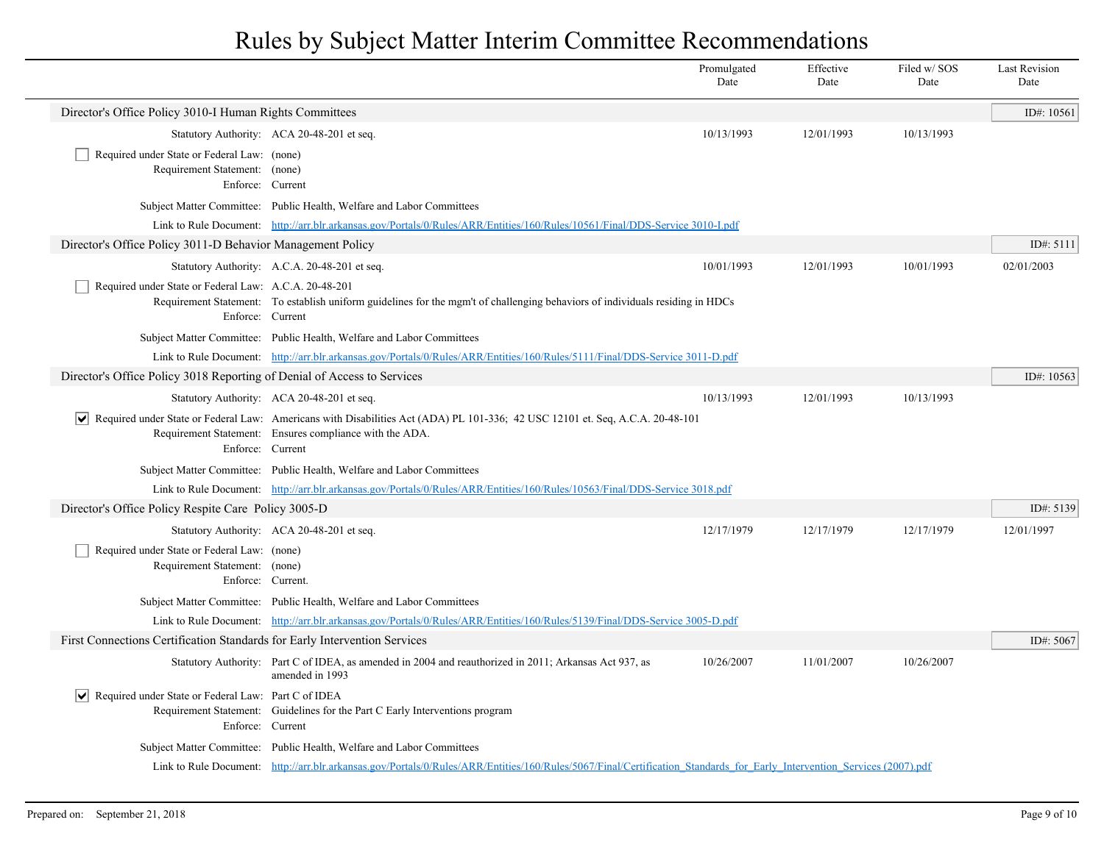|                                                                                                  |                                                                                                                                                                                                                | Promulgated<br>Date | Effective<br>Date | Filed w/SOS<br>Date | <b>Last Revision</b><br>Date |
|--------------------------------------------------------------------------------------------------|----------------------------------------------------------------------------------------------------------------------------------------------------------------------------------------------------------------|---------------------|-------------------|---------------------|------------------------------|
| Director's Office Policy 3010-I Human Rights Committees                                          |                                                                                                                                                                                                                |                     |                   |                     | ID#: $10561$                 |
|                                                                                                  | Statutory Authority: ACA 20-48-201 et seq.                                                                                                                                                                     | 10/13/1993          | 12/01/1993        | 10/13/1993          |                              |
| Required under State or Federal Law: (none)<br>Requirement Statement: (none)<br>Enforce: Current |                                                                                                                                                                                                                |                     |                   |                     |                              |
|                                                                                                  | Subject Matter Committee: Public Health, Welfare and Labor Committees                                                                                                                                          |                     |                   |                     |                              |
|                                                                                                  | Link to Rule Document: http://arr.blr.arkansas.gov/Portals/0/Rules/ARR/Entities/160/Rules/10561/Final/DDS-Service 3010-Lpdf                                                                                    |                     |                   |                     |                              |
| Director's Office Policy 3011-D Behavior Management Policy                                       |                                                                                                                                                                                                                |                     |                   |                     | ID#: 5111                    |
|                                                                                                  | Statutory Authority: A.C.A. 20-48-201 et seq.                                                                                                                                                                  | 10/01/1993          | 12/01/1993        | 10/01/1993          | 02/01/2003                   |
| Required under State or Federal Law: A.C.A. 20-48-201<br>Enforce: Current                        | Requirement Statement: To establish uniform guidelines for the mgm't of challenging behaviors of individuals residing in HDCs                                                                                  |                     |                   |                     |                              |
|                                                                                                  | Subject Matter Committee: Public Health, Welfare and Labor Committees                                                                                                                                          |                     |                   |                     |                              |
|                                                                                                  | Link to Rule Document: http://arr.blr.arkansas.gov/Portals/0/Rules/ARR/Entities/160/Rules/5111/Final/DDS-Service 3011-D.pdf                                                                                    |                     |                   |                     |                              |
| Director's Office Policy 3018 Reporting of Denial of Access to Services                          |                                                                                                                                                                                                                |                     |                   |                     | ID#: 10563                   |
|                                                                                                  | Statutory Authority: ACA 20-48-201 et seq.                                                                                                                                                                     | 10/13/1993          | 12/01/1993        | 10/13/1993          |                              |
| Enforce: Current                                                                                 | $\blacktriangleright$ Required under State or Federal Law: Americans with Disabilities Act (ADA) PL 101-336; 42 USC 12101 et. Seq, A.C.A. 20-48-101<br>Requirement Statement: Ensures compliance with the ADA. |                     |                   |                     |                              |
|                                                                                                  | Subject Matter Committee: Public Health, Welfare and Labor Committees                                                                                                                                          |                     |                   |                     |                              |
|                                                                                                  | Link to Rule Document: http://arr.blr.arkansas.gov/Portals/0/Rules/ARR/Entities/160/Rules/10563/Final/DDS-Service 3018.pdf                                                                                     |                     |                   |                     |                              |
| Director's Office Policy Respite Care Policy 3005-D                                              |                                                                                                                                                                                                                |                     |                   |                     | ID#: 5139                    |
|                                                                                                  | Statutory Authority: ACA 20-48-201 et seq.                                                                                                                                                                     | 12/17/1979          | 12/17/1979        | 12/17/1979          | 12/01/1997                   |
| Required under State or Federal Law: (none)<br>Requirement Statement: (none)                     | Enforce: Current.                                                                                                                                                                                              |                     |                   |                     |                              |
|                                                                                                  | Subject Matter Committee: Public Health, Welfare and Labor Committees                                                                                                                                          |                     |                   |                     |                              |
|                                                                                                  | Link to Rule Document: http://arr.blr.arkansas.gov/Portals/0/Rules/ARR/Entities/160/Rules/5139/Final/DDS-Service 3005-D.pdf                                                                                    |                     |                   |                     |                              |
| First Connections Certification Standards for Early Intervention Services                        |                                                                                                                                                                                                                |                     |                   |                     | ID#: 5067                    |
|                                                                                                  | Statutory Authority: Part C of IDEA, as amended in 2004 and reauthorized in 2011; Arkansas Act 937, as<br>amended in 1993                                                                                      | 10/26/2007          | 11/01/2007        | 10/26/2007          |                              |
| Required under State or Federal Law: Part C of IDEA<br>Enforce: Current                          | Requirement Statement: Guidelines for the Part C Early Interventions program                                                                                                                                   |                     |                   |                     |                              |
|                                                                                                  | Subject Matter Committee: Public Health, Welfare and Labor Committees                                                                                                                                          |                     |                   |                     |                              |
|                                                                                                  | Link to Rule Document: http://arr.blr.arkansas.gov/Portals/0/Rules/ARR/Entities/160/Rules/5067/Final/Certification Standards for Early Intervention Services (2007).pdf                                        |                     |                   |                     |                              |